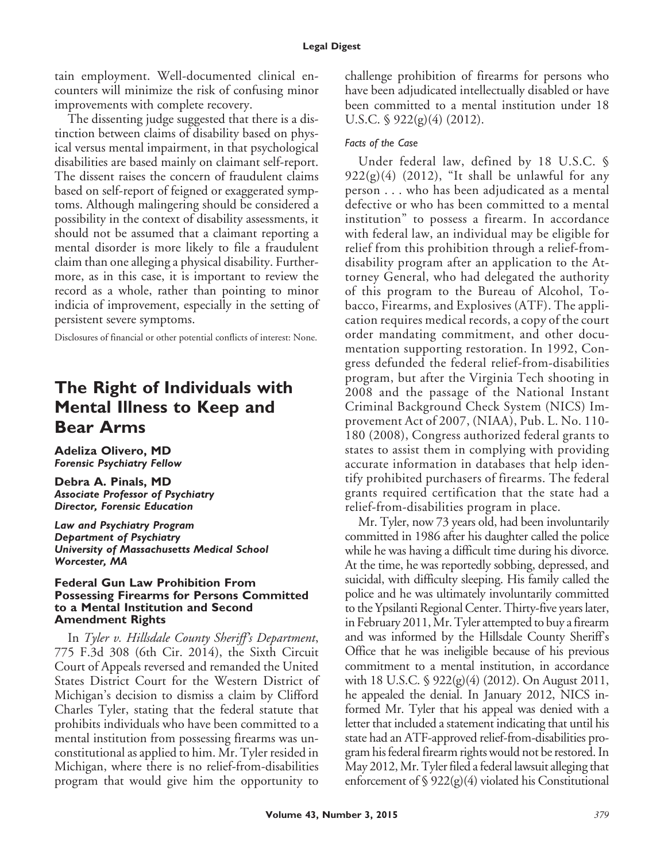tain employment. Well-documented clinical encounters will minimize the risk of confusing minor improvements with complete recovery.

The dissenting judge suggested that there is a distinction between claims of disability based on physical versus mental impairment, in that psychological disabilities are based mainly on claimant self-report. The dissent raises the concern of fraudulent claims based on self-report of feigned or exaggerated symptoms. Although malingering should be considered a possibility in the context of disability assessments, it should not be assumed that a claimant reporting a mental disorder is more likely to file a fraudulent claim than one alleging a physical disability. Furthermore, as in this case, it is important to review the record as a whole, rather than pointing to minor indicia of improvement, especially in the setting of persistent severe symptoms.

Disclosures of financial or other potential conflicts of interest: None.

## **The Right of Individuals with Mental Illness to Keep and Bear Arms**

**Adeliza Olivero, MD** *Forensic Psychiatry Fellow*

**Debra A. Pinals, MD** *Associate Professor of Psychiatry Director, Forensic Education*

*Law and Psychiatry Program Department of Psychiatry University of Massachusetts Medical School Worcester, MA*

#### **Federal Gun Law Prohibition From Possessing Firearms for Persons Committed to a Mental Institution and Second Amendment Rights**

In *Tyler v. Hillsdale County Sheriff's Department*, 775 F.3d 308 (6th Cir. 2014), the Sixth Circuit Court of Appeals reversed and remanded the United States District Court for the Western District of Michigan's decision to dismiss a claim by Clifford Charles Tyler, stating that the federal statute that prohibits individuals who have been committed to a mental institution from possessing firearms was unconstitutional as applied to him. Mr. Tyler resided in Michigan, where there is no relief-from-disabilities program that would give him the opportunity to

challenge prohibition of firearms for persons who have been adjudicated intellectually disabled or have been committed to a mental institution under 18 U.S.C. § 922(g)(4) (2012).

## *Facts of the Case*

Under federal law, defined by 18 U.S.C. §  $922(g)(4)$  (2012), "It shall be unlawful for any person . . . who has been adjudicated as a mental defective or who has been committed to a mental institution" to possess a firearm. In accordance with federal law, an individual may be eligible for relief from this prohibition through a relief-fromdisability program after an application to the Attorney General, who had delegated the authority of this program to the Bureau of Alcohol, Tobacco, Firearms, and Explosives (ATF). The application requires medical records, a copy of the court order mandating commitment, and other documentation supporting restoration. In 1992, Congress defunded the federal relief-from-disabilities program, but after the Virginia Tech shooting in 2008 and the passage of the National Instant Criminal Background Check System (NICS) Improvement Act of 2007, (NIAA), Pub. L. No. 110- 180 (2008), Congress authorized federal grants to states to assist them in complying with providing accurate information in databases that help identify prohibited purchasers of firearms. The federal grants required certification that the state had a relief-from-disabilities program in place.

Mr. Tyler, now 73 years old, had been involuntarily committed in 1986 after his daughter called the police while he was having a difficult time during his divorce. At the time, he was reportedly sobbing, depressed, and suicidal, with difficulty sleeping. His family called the police and he was ultimately involuntarily committed to the Ypsilanti Regional Center. Thirty-five years later, in February 2011, Mr. Tyler attempted to buy a firearm and was informed by the Hillsdale County Sheriff's Office that he was ineligible because of his previous commitment to a mental institution, in accordance with 18 U.S.C. § 922(g)(4) (2012). On August 2011, he appealed the denial. In January 2012, NICS informed Mr. Tyler that his appeal was denied with a letter that included a statement indicating that until his state had an ATF-approved relief-from-disabilities program his federal firearm rights would not be restored. In May 2012, Mr. Tyler filed a federal lawsuit alleging that enforcement of  $\frac{1}{2}$  922(g)(4) violated his Constitutional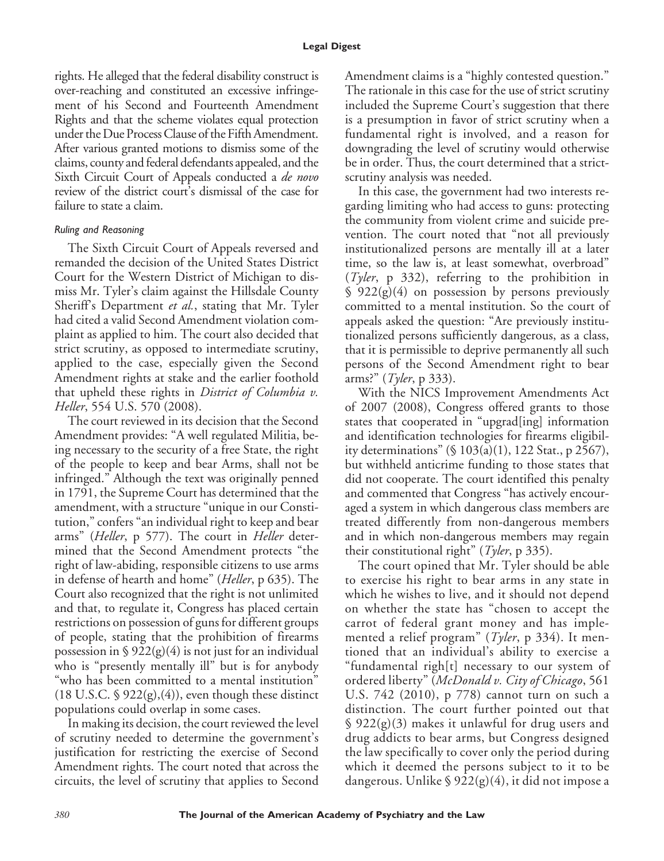rights. He alleged that the federal disability construct is over-reaching and constituted an excessive infringement of his Second and Fourteenth Amendment Rights and that the scheme violates equal protection under the Due Process Clause of the Fifth Amendment. After various granted motions to dismiss some of the claims, county and federal defendants appealed, and the Sixth Circuit Court of Appeals conducted a *de novo* review of the district court's dismissal of the case for failure to state a claim.

#### *Ruling and Reasoning*

The Sixth Circuit Court of Appeals reversed and remanded the decision of the United States District Court for the Western District of Michigan to dismiss Mr. Tyler's claim against the Hillsdale County Sheriff's Department *et al.*, stating that Mr. Tyler had cited a valid Second Amendment violation complaint as applied to him. The court also decided that strict scrutiny, as opposed to intermediate scrutiny, applied to the case, especially given the Second Amendment rights at stake and the earlier foothold that upheld these rights in *District of Columbia v. Heller*, 554 U.S. 570 (2008).

The court reviewed in its decision that the Second Amendment provides: "A well regulated Militia, being necessary to the security of a free State, the right of the people to keep and bear Arms, shall not be infringed." Although the text was originally penned in 1791, the Supreme Court has determined that the amendment, with a structure "unique in our Constitution," confers "an individual right to keep and bear arms" (*Heller*, p 577). The court in *Heller* determined that the Second Amendment protects "the right of law-abiding, responsible citizens to use arms in defense of hearth and home" (*Heller*, p 635). The Court also recognized that the right is not unlimited and that, to regulate it, Congress has placed certain restrictions on possession of guns for different groups of people, stating that the prohibition of firearms possession in  $\frac{1}{2}$  922(g)(4) is not just for an individual who is "presently mentally ill" but is for anybody "who has been committed to a mental institution"  $(18 \text{ U.S.C. } § 922(g),(4))$ , even though these distinct populations could overlap in some cases.

In making its decision, the court reviewed the level of scrutiny needed to determine the government's justification for restricting the exercise of Second Amendment rights. The court noted that across the circuits, the level of scrutiny that applies to Second Amendment claims is a "highly contested question." The rationale in this case for the use of strict scrutiny included the Supreme Court's suggestion that there is a presumption in favor of strict scrutiny when a fundamental right is involved, and a reason for downgrading the level of scrutiny would otherwise be in order. Thus, the court determined that a strictscrutiny analysis was needed.

In this case, the government had two interests regarding limiting who had access to guns: protecting the community from violent crime and suicide prevention. The court noted that "not all previously institutionalized persons are mentally ill at a later time, so the law is, at least somewhat, overbroad" (*Tyler*, p 332), referring to the prohibition in § 922(g)(4) on possession by persons previously committed to a mental institution. So the court of appeals asked the question: "Are previously institutionalized persons sufficiently dangerous, as a class, that it is permissible to deprive permanently all such persons of the Second Amendment right to bear arms?" (*Tyler*, p 333).

With the NICS Improvement Amendments Act of 2007 (2008), Congress offered grants to those states that cooperated in "upgrad[ing] information and identification technologies for firearms eligibility determinations" (§ 103(a)(1), 122 Stat., p 2567), but withheld anticrime funding to those states that did not cooperate. The court identified this penalty and commented that Congress "has actively encouraged a system in which dangerous class members are treated differently from non-dangerous members and in which non-dangerous members may regain their constitutional right" (*Tyler*, p 335).

The court opined that Mr. Tyler should be able to exercise his right to bear arms in any state in which he wishes to live, and it should not depend on whether the state has "chosen to accept the carrot of federal grant money and has implemented a relief program" (*Tyler*, p 334). It mentioned that an individual's ability to exercise a "fundamental righ[t] necessary to our system of ordered liberty" (*McDonald v. City of Chicago*, 561 U.S. 742 (2010), p 778) cannot turn on such a distinction. The court further pointed out that  $\frac{1}{2}$  922(g)(3) makes it unlawful for drug users and drug addicts to bear arms, but Congress designed the law specifically to cover only the period during which it deemed the persons subject to it to be dangerous. Unlike § 922(g)(4), it did not impose a